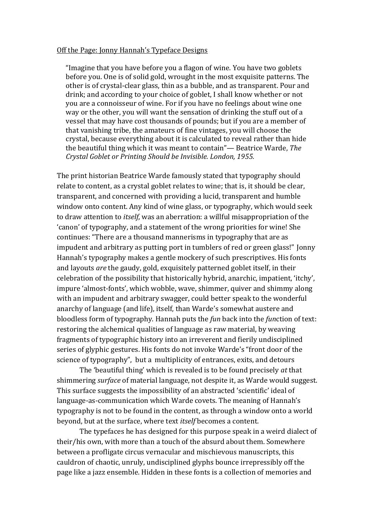## Off the Page: Jonny Hannah's Typeface Designs

"Imagine that you have before you a flagon of wine. You have two goblets before you. One is of solid gold, wrought in the most exquisite patterns. The other is of crystal-clear glass, thin as a bubble, and as transparent. Pour and drink; and according to your choice of goblet, I shall know whether or not you are a connoisseur of wine. For if you have no feelings about wine one way or the other, you will want the sensation of drinking the stuff out of a vessel that may have cost thousands of pounds; but if you are a member of that vanishing tribe, the amateurs of fine vintages, you will choose the crystal, because everything about it is calculated to reveal rather than hide the beautiful thing which it was meant to contain"— Beatrice Warde, *The Crystal Goblet or Printing Should be Invisible. London, 1955.* 

The print historian Beatrice Warde famously stated that typography should relate to content, as a crystal goblet relates to wine; that is, it should be clear, transparent, and concerned with providing a lucid, transparent and humble window onto content. Any kind of wine glass, or typography, which would seek to draw attention to *itself*, was an aberration: a willful misappropriation of the 'canon' of typography, and a statement of the wrong priorities for wine! She continues: "There are a thousand mannerisms in typography that are as impudent and arbitrary as putting port in tumblers of red or green glass!" Jonny Hannah's typography makes a gentle mockery of such prescriptives. His fonts and layouts *are* the gaudy, gold, exquisitely patterned goblet itself, in their celebration of the possibility that historically hybrid, anarchic, impatient, 'itchy', impure 'almost-fonts', which wobble, wave, shimmer, quiver and shimmy along with an impudent and arbitrary swagger, could better speak to the wonderful anarchy of language (and life), itself, than Warde's somewhat austere and bloodless form of typography. Hannah puts the *fun* back into the *function* of text: restoring the alchemical qualities of language as raw material, by weaving fragments of typographic history into an irreverent and fierily undisciplined series of glyphic gestures. His fonts do not invoke Warde's "front door of the science of typography", but a multiplicity of entrances, exits, and detours

The 'beautiful thing' which is revealed is to be found precisely *at* that shimmering *surface* of material language, not despite it, as Warde would suggest. This surface suggests the impossibility of an abstracted 'scientific' ideal of language-as-communication which Warde covets. The meaning of Hannah's typography is not to be found in the content, as through a window onto a world beyond, but at the surface, where text *itself* becomes a content.

The typefaces he has designed for this purpose speak in a weird dialect of their/his own, with more than a touch of the absurd about them. Somewhere between a profligate circus vernacular and mischievous manuscripts, this cauldron of chaotic, unruly, undisciplined glyphs bounce irrepressibly off the page like a jazz ensemble. Hidden in these fonts is a collection of memories and